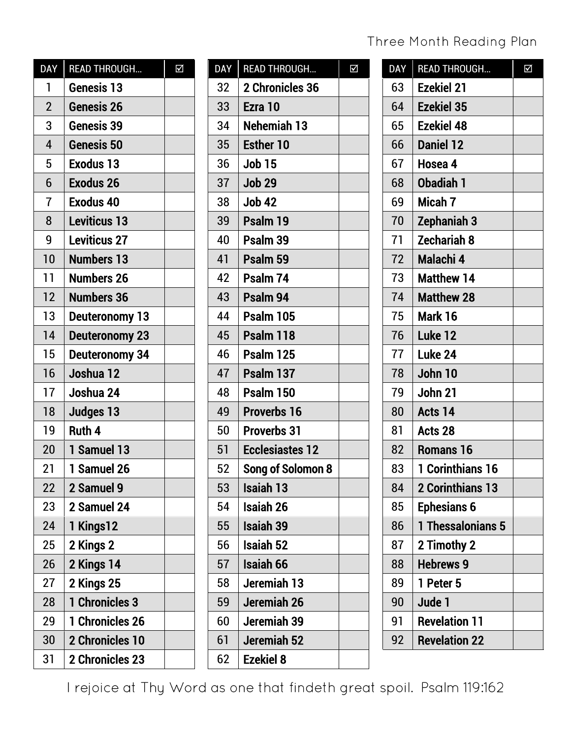#### Three Month Reading Plan

| <b>DAY</b>     | <b>READ THROUGH</b>    | Σ |
|----------------|------------------------|---|
| 1              | Genesis 13             |   |
| $\overline{2}$ | Genesis 26             |   |
| 3              | Genesis 39             |   |
| 4              | Genesis 50             |   |
| 5              | <b>Exodus 13</b>       |   |
| 6              | <b>Exodus 26</b>       |   |
| $\overline{1}$ | <b>Exodus 40</b>       |   |
| 8              | <b>Leviticus 13</b>    |   |
| 9              | <b>Leviticus 27</b>    |   |
| 10             | <b>Numbers 13</b>      |   |
| 11             | <b>Numbers 26</b>      |   |
| 12             | <b>Numbers 36</b>      |   |
| 13             | <b>Deuteronomy 13</b>  |   |
| 14             | <b>Deuteronomy 23</b>  |   |
| 15             | Deuteronomy 34         |   |
| 16             | Joshua 12              |   |
| 17             | Joshua 24              |   |
| 18             | Judges 13              |   |
| 19             | Ruth 4                 |   |
| 20             | 1 Samuel 13            |   |
| 21             | 1 Samuel 26            |   |
| 22             | 2 Samuel 9             |   |
| 23             | 2 Samuel 24            |   |
| 24             | 1 Kings12              |   |
| 25             | 2 Kings 2              |   |
| 26             | 2 Kings 14             |   |
| 27             | 2 Kings 25             |   |
| 28             | 1 Chronicles 3         |   |
| 29             | 1 Chronicles 26        |   |
| 30             | <b>2 Chronicles 10</b> |   |
| 31             | 2 Chronicles 23        |   |

| <b>DAY</b> | <b>READ THROUGH</b>    | Δ |
|------------|------------------------|---|
| 32         | 2 Chronicles 36        |   |
| 33         | Ezra 10                |   |
| 34         | Nehemiah 13            |   |
| 35         | <b>Esther 10</b>       |   |
| 36         | <b>Job 15</b>          |   |
| 37         | <b>Job 29</b>          |   |
| 38         | <b>Job 42</b>          |   |
| 39         | Psalm 19               |   |
| 40         | Psalm 39               |   |
| 41         | Psalm 59               |   |
| 42         | Psalm 74               |   |
| 43         | Psalm 94               |   |
| 44         | Psalm 105              |   |
| 45         | Psalm 118              |   |
| 46         | Psalm 125              |   |
| 47         | Psalm 137              |   |
| 48         | Psalm 150              |   |
| 49         | <b>Proverbs 16</b>     |   |
| 50         | <b>Proverbs 31</b>     |   |
| 51         | <b>Ecclesiastes 12</b> |   |
| 52         | Song of Solomon 8      |   |
| 53         | Isaiah 13              |   |
| 54         | <b>Isaiah 26</b>       |   |
| 55         | <b>Isaiah 39</b>       |   |
| 56         | Isaiah 52              |   |
| 57         | <b>Isaiah 66</b>       |   |
| 58         | Jeremiah 13            |   |
| 59         | Jeremiah 26            |   |
| 60         | Jeremiah 39            |   |
| 61         | Jeremiah 52            |   |
| 62         | <b>Ezekiel 8</b>       |   |

| <b>DAY</b> | <b>READ THROUGH</b>  | $\overline{\blacktriangle}$ |
|------------|----------------------|-----------------------------|
| 63         | <b>Ezekiel 21</b>    |                             |
| 64         | <b>Ezekiel 35</b>    |                             |
| 65         | <b>Ezekiel 48</b>    |                             |
| 66         | <b>Daniel 12</b>     |                             |
| 67         | Hosea 4              |                             |
| 68         | <b>Obadiah 1</b>     |                             |
| 69         | Micah 7              |                             |
| 70         | Zephaniah 3          |                             |
| 71         | <b>Zechariah 8</b>   |                             |
| 72         | Malachi 4            |                             |
| 73         | <b>Matthew 14</b>    |                             |
| 74         | <b>Matthew 28</b>    |                             |
| 75         | Mark 16              |                             |
| 76         | Luke 12              |                             |
| 77         | Luke 24              |                             |
| 78         | John 10              |                             |
| 79         | John 21              |                             |
| 80         | Acts 14              |                             |
| 81         | Acts 28              |                             |
| 82         | <b>Romans 16</b>     |                             |
| 83         | 1 Corinthians 16     |                             |
| 84         | 2 Corinthians 13     |                             |
| 85         | <b>Ephesians 6</b>   |                             |
| 86         | 1 Thessalonians 5    |                             |
| 87         | 2 Timothy 2          |                             |
| 88         | <b>Hebrews 9</b>     |                             |
| 89         | 1 Peter 5            |                             |
| 90         | Jude 1               |                             |
| 91         | <b>Revelation 11</b> |                             |
| 92         | <b>Revelation 22</b> |                             |

I rejoice at Thy Word as one that findeth great spoil. Psalm 119:162